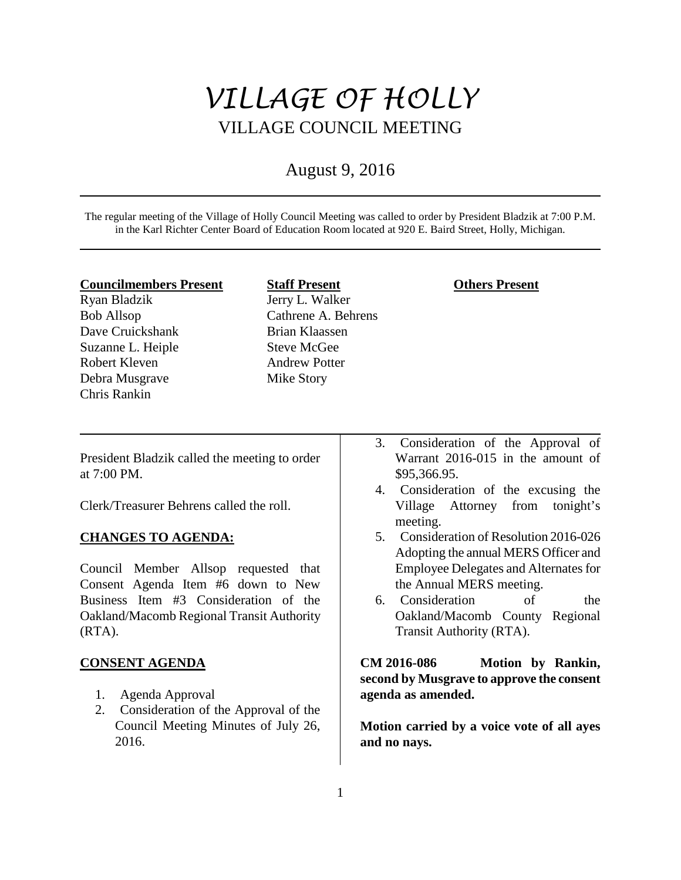# *VILLAGE OF HOLLY* VILLAGE COUNCIL MEETING

# August 9, 2016

The regular meeting of the Village of Holly Council Meeting was called to order by President Bladzik at 7:00 P.M. in the Karl Richter Center Board of Education Room located at 920 E. Baird Street, Holly, Michigan.

#### **Councilmembers Present**

Ryan Bladzik Bob Allsop Dave Cruickshank Suzanne L. Heiple Robert Kleven Debra Musgrave Chris Rankin

# **Staff Present** Jerry L. Walker Cathrene A. Behrens Brian Klaassen Steve McGee Andrew Potter Mike Story

#### **Others Present**

President Bladzik called the meeting to order at 7:00 PM.

Clerk/Treasurer Behrens called the roll.

# **CHANGES TO AGENDA:**

Council Member Allsop requested that Consent Agenda Item #6 down to New Business Item #3 Consideration of the Oakland/Macomb Regional Transit Authority (RTA).

## **CONSENT AGENDA**

- 1. Agenda Approval
- 2. Consideration of the Approval of the Council Meeting Minutes of July 26, 2016.
- 3. Consideration of the Approval of Warrant 2016-015 in the amount of \$95,366.95.
- 4. Consideration of the excusing the Village Attorney from tonight's meeting.
- 5. Consideration of Resolution 2016-026 Adopting the annual MERS Officer and Employee Delegates and Alternates for the Annual MERS meeting.
- 6. Consideration of the Oakland/Macomb County Regional Transit Authority (RTA).

**CM 2016-086 Motion by Rankin, second by Musgrave to approve the consent agenda as amended.**

**Motion carried by a voice vote of all ayes and no nays.**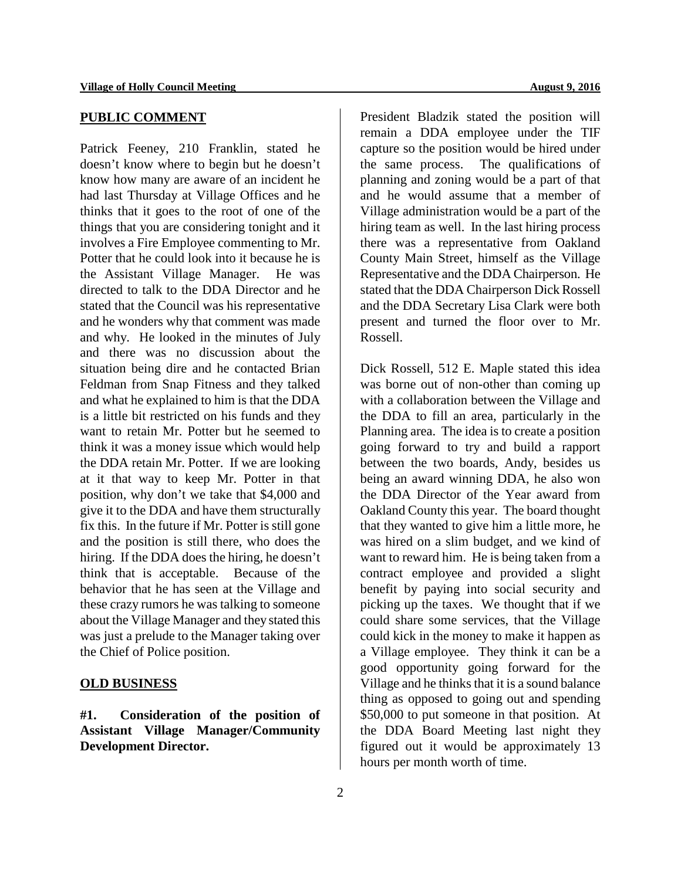#### **PUBLIC COMMENT**

Patrick Feeney, 210 Franklin, stated he doesn't know where to begin but he doesn't know how many are aware of an incident he had last Thursday at Village Offices and he thinks that it goes to the root of one of the things that you are considering tonight and it involves a Fire Employee commenting to Mr. Potter that he could look into it because he is the Assistant Village Manager. He was directed to talk to the DDA Director and he stated that the Council was his representative and he wonders why that comment was made and why. He looked in the minutes of July and there was no discussion about the situation being dire and he contacted Brian Feldman from Snap Fitness and they talked and what he explained to him is that the DDA is a little bit restricted on his funds and they want to retain Mr. Potter but he seemed to think it was a money issue which would help the DDA retain Mr. Potter. If we are looking at it that way to keep Mr. Potter in that position, why don't we take that \$4,000 and give it to the DDA and have them structurally fix this. In the future if Mr. Potter is still gone and the position is still there, who does the hiring. If the DDA does the hiring, he doesn't think that is acceptable. Because of the behavior that he has seen at the Village and these crazy rumors he was talking to someone about the Village Manager and they stated this was just a prelude to the Manager taking over the Chief of Police position.

#### **OLD BUSINESS**

**#1. Consideration of the position of Assistant Village Manager/Community Development Director.**

President Bladzik stated the position will remain a DDA employee under the TIF capture so the position would be hired under the same process. The qualifications of planning and zoning would be a part of that and he would assume that a member of Village administration would be a part of the hiring team as well. In the last hiring process there was a representative from Oakland County Main Street, himself as the Village Representative and the DDA Chairperson. He stated that the DDA Chairperson Dick Rossell and the DDA Secretary Lisa Clark were both present and turned the floor over to Mr. Rossell.

Dick Rossell, 512 E. Maple stated this idea was borne out of non-other than coming up with a collaboration between the Village and the DDA to fill an area, particularly in the Planning area. The idea is to create a position going forward to try and build a rapport between the two boards, Andy, besides us being an award winning DDA, he also won the DDA Director of the Year award from Oakland County this year. The board thought that they wanted to give him a little more, he was hired on a slim budget, and we kind of want to reward him. He is being taken from a contract employee and provided a slight benefit by paying into social security and picking up the taxes. We thought that if we could share some services, that the Village could kick in the money to make it happen as a Village employee. They think it can be a good opportunity going forward for the Village and he thinks that it is a sound balance thing as opposed to going out and spending \$50,000 to put someone in that position. At the DDA Board Meeting last night they figured out it would be approximately 13 hours per month worth of time.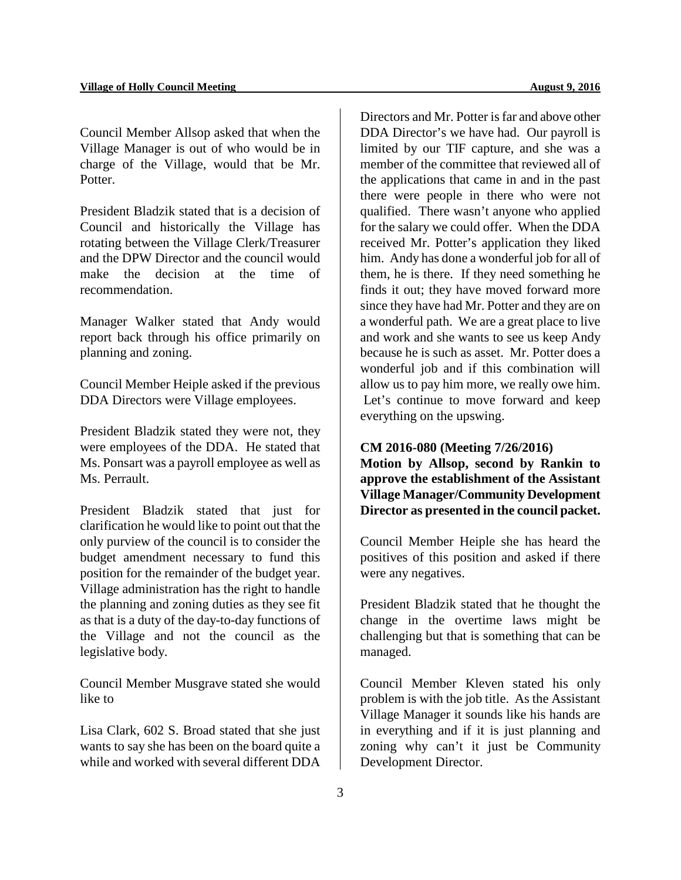Council Member Allsop asked that when the Village Manager is out of who would be in charge of the Village, would that be Mr. Potter.

President Bladzik stated that is a decision of Council and historically the Village has rotating between the Village Clerk/Treasurer and the DPW Director and the council would make the decision at the time of recommendation.

Manager Walker stated that Andy would report back through his office primarily on planning and zoning.

Council Member Heiple asked if the previous DDA Directors were Village employees.

President Bladzik stated they were not, they were employees of the DDA. He stated that Ms. Ponsart was a payroll employee as well as Ms. Perrault.

President Bladzik stated that just for clarification he would like to point out that the only purview of the council is to consider the budget amendment necessary to fund this position for the remainder of the budget year. Village administration has the right to handle the planning and zoning duties as they see fit as that is a duty of the day-to-day functions of the Village and not the council as the legislative body.

Council Member Musgrave stated she would like to

Lisa Clark, 602 S. Broad stated that she just wants to say she has been on the board quite a while and worked with several different DDA

Directors and Mr. Potter is far and above other DDA Director's we have had. Our payroll is limited by our TIF capture, and she was a member of the committee that reviewed all of the applications that came in and in the past there were people in there who were not qualified. There wasn't anyone who applied for the salary we could offer. When the DDA received Mr. Potter's application they liked him. Andy has done a wonderful job for all of them, he is there. If they need something he finds it out; they have moved forward more since they have had Mr. Potter and they are on a wonderful path. We are a great place to live and work and she wants to see us keep Andy because he is such as asset. Mr. Potter does a wonderful job and if this combination will allow us to pay him more, we really owe him. Let's continue to move forward and keep everything on the upswing.

#### **CM 2016-080 (Meeting 7/26/2016)**

**Motion by Allsop, second by Rankin to approve the establishment of the Assistant Village Manager/Community Development Director as presented in the council packet.**

Council Member Heiple she has heard the positives of this position and asked if there were any negatives.

President Bladzik stated that he thought the change in the overtime laws might be challenging but that is something that can be managed.

Council Member Kleven stated his only problem is with the job title. As the Assistant Village Manager it sounds like his hands are in everything and if it is just planning and zoning why can't it just be Community Development Director.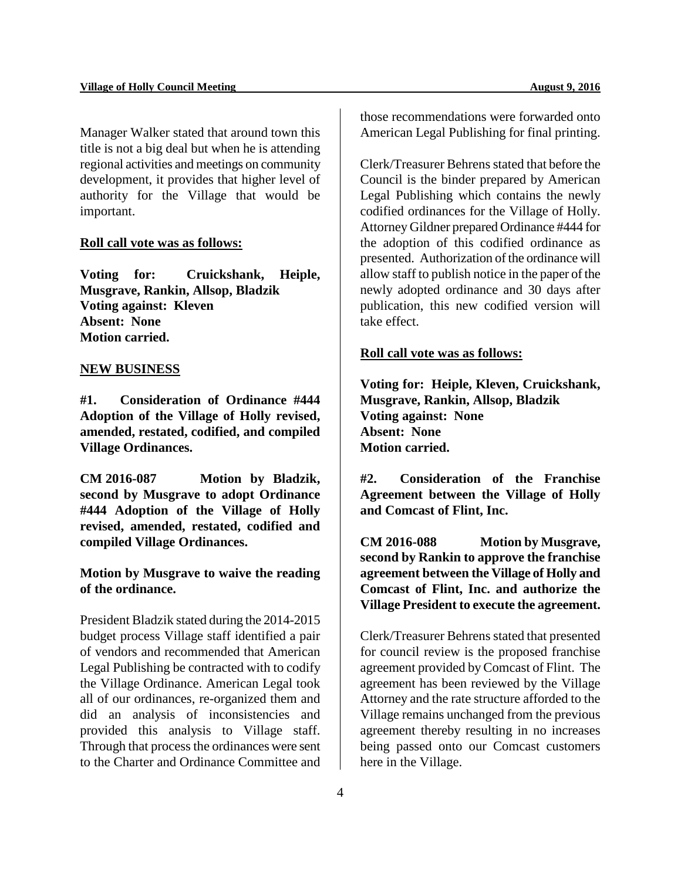Manager Walker stated that around town this title is not a big deal but when he is attending regional activities and meetings on community development, it provides that higher level of authority for the Village that would be important.

# **Roll call vote was as follows:**

**Voting for: Cruickshank, Heiple, Musgrave, Rankin, Allsop, Bladzik Voting against: Kleven Absent: None Motion carried.** 

#### **NEW BUSINESS**

**#1. Consideration of Ordinance #444 Adoption of the Village of Holly revised, amended, restated, codified, and compiled Village Ordinances.**

**CM 2016-087 Motion by Bladzik, second by Musgrave to adopt Ordinance #444 Adoption of the Village of Holly revised, amended, restated, codified and compiled Village Ordinances.**

# **Motion by Musgrave to waive the reading of the ordinance.**

President Bladzik stated during the 2014-2015 budget process Village staff identified a pair of vendors and recommended that American Legal Publishing be contracted with to codify the Village Ordinance. American Legal took all of our ordinances, re-organized them and did an analysis of inconsistencies and provided this analysis to Village staff. Through that process the ordinances were sent to the Charter and Ordinance Committee and those recommendations were forwarded onto American Legal Publishing for final printing.

Clerk/Treasurer Behrens stated that before the Council is the binder prepared by American Legal Publishing which contains the newly codified ordinances for the Village of Holly. Attorney Gildner prepared Ordinance #444 for the adoption of this codified ordinance as presented. Authorization of the ordinance will allow staff to publish notice in the paper of the newly adopted ordinance and 30 days after publication, this new codified version will take effect.

#### **Roll call vote was as follows:**

**Voting for: Heiple, Kleven, Cruickshank, Musgrave, Rankin, Allsop, Bladzik Voting against: None Absent: None Motion carried.** 

**#2. Consideration of the Franchise Agreement between the Village of Holly and Comcast of Flint, Inc.** 

**CM 2016-088 Motion by Musgrave, second by Rankin to approve the franchise agreement between the Village of Holly and Comcast of Flint, Inc. and authorize the Village President to execute the agreement.** 

Clerk/Treasurer Behrens stated that presented for council review is the proposed franchise agreement provided by Comcast of Flint. The agreement has been reviewed by the Village Attorney and the rate structure afforded to the Village remains unchanged from the previous agreement thereby resulting in no increases being passed onto our Comcast customers here in the Village.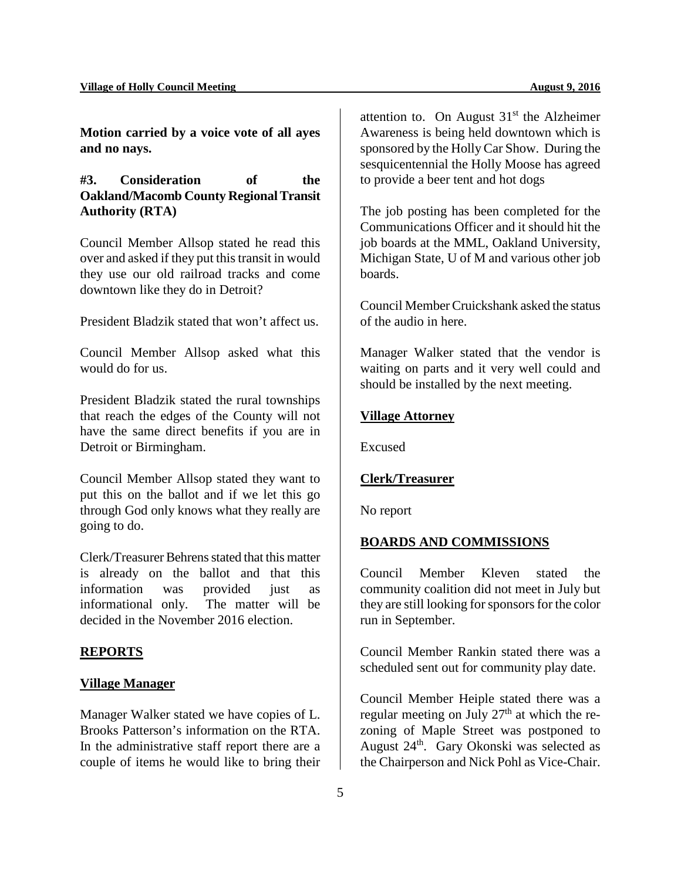**Motion carried by a voice vote of all ayes and no nays.**

# **#3. Consideration of the Oakland/Macomb County Regional Transit Authority (RTA)**

Council Member Allsop stated he read this over and asked if they put this transit in would they use our old railroad tracks and come downtown like they do in Detroit?

President Bladzik stated that won't affect us.

Council Member Allsop asked what this would do for us.

President Bladzik stated the rural townships that reach the edges of the County will not have the same direct benefits if you are in Detroit or Birmingham.

Council Member Allsop stated they want to put this on the ballot and if we let this go through God only knows what they really are going to do.

Clerk/Treasurer Behrens stated that this matter is already on the ballot and that this information was provided just as informational only. The matter will be decided in the November 2016 election.

#### **REPORTS**

#### **Village Manager**

Manager Walker stated we have copies of L. Brooks Patterson's information on the RTA. In the administrative staff report there are a couple of items he would like to bring their attention to. On August  $31<sup>st</sup>$  the Alzheimer Awareness is being held downtown which is sponsored by the Holly Car Show. During the sesquicentennial the Holly Moose has agreed to provide a beer tent and hot dogs

The job posting has been completed for the Communications Officer and it should hit the job boards at the MML, Oakland University, Michigan State, U of M and various other job boards.

Council Member Cruickshank asked the status of the audio in here.

Manager Walker stated that the vendor is waiting on parts and it very well could and should be installed by the next meeting.

#### **Village Attorney**

Excused

# **Clerk/Treasurer**

No report

#### **BOARDS AND COMMISSIONS**

Council Member Kleven stated the community coalition did not meet in July but they are still looking for sponsors for the color run in September.

Council Member Rankin stated there was a scheduled sent out for community play date.

Council Member Heiple stated there was a regular meeting on July  $27<sup>th</sup>$  at which the rezoning of Maple Street was postponed to August  $24<sup>th</sup>$ . Gary Okonski was selected as the Chairperson and Nick Pohl as Vice-Chair.